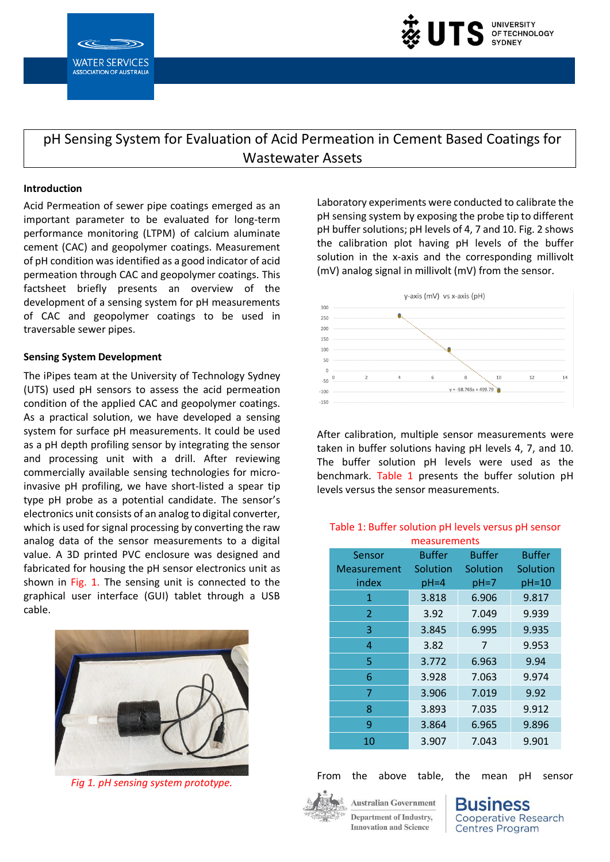



pH Sensing System for Evaluation of Acid Permeation in Cement Based Coatings for Wastewater Assets

## **Introduction**

Acid Permeation of sewer pipe coatings emerged as an important parameter to be evaluated for long-term performance monitoring (LTPM) of calcium aluminate cement (CAC) and geopolymer coatings. Measurement of pH condition was identified as a good indicator of acid permeation through CAC and geopolymer coatings. This factsheet briefly presents an overview of the development of a sensing system for pH measurements of CAC and geopolymer coatings to be used in traversable sewer pipes.

## **Sensing System Development**

The iPipes team at the University of Technology Sydney (UTS) used pH sensors to assess the acid permeation condition of the applied CAC and geopolymer coatings. As a practical solution, we have developed a sensing system for surface pH measurements. It could be used as a pH depth profiling sensor by integrating the sensor and processing unit with a drill. After reviewing commercially available sensing technologies for microinvasive pH profiling, we have short-listed a spear tip type pH probe as a potential candidate. The sensor's electronics unit consists of an analog to digital converter, which is used for signal processing by converting the raw analog data of the sensor measurements to a digital value. A 3D printed PVC enclosure was designed and fabricated for housing the pH sensor electronics unit as shown in Fig. 1. The sensing unit is connected to the graphical user interface (GUI) tablet through a USB cable.



*Fig 1. pH sensing system prototype.*

Laboratory experiments were conducted to calibrate the pH sensing system by exposing the probe tip to different pH buffer solutions; pH levels of 4, 7 and 10. Fig. 2 shows the calibration plot having pH levels of the buffer solution in the x-axis and the corresponding millivolt (mV) analog signal in millivolt (mV) from the sensor.



After calibration, multiple sensor measurements were taken in buffer solutions having pH levels 4, 7, and 10. The buffer solution pH levels were used as the benchmark. Table 1 presents the buffer solution pH levels versus the sensor measurements.

## Table 1: Buffer solution pH levels versus pH sensor measurements

| Sensor         | <b>Buffer</b> | <b>Buffer</b> | <b>Buffer</b> |
|----------------|---------------|---------------|---------------|
| Measurement    | Solution      | Solution      | Solution      |
| index          | $pH = 4$      | $pH = 7$      | pH=10         |
| 1              | 3.818         | 6.906         | 9.817         |
| $\overline{2}$ | 3.92          | 7.049         | 9.939         |
| 3              | 3.845         | 6.995         | 9.935         |
| 4              | 3.82          | 7             | 9.953         |
| 5              | 3.772         | 6.963         | 9.94          |
| 6              | 3.928         | 7.063         | 9.974         |
| 7              | 3.906         | 7.019         | 9.92          |
| 8              | 3.893         | 7.035         | 9.912         |
| 9              | 3.864         | 6.965         | 9.896         |
| 10             | 3.907         | 7.043         | 9.901         |

From the above table, the mean pH sensor



**Australian Government** Denartment of Industry. **Innovation and Science** 

**SINESS Cooperative Research Centres Program**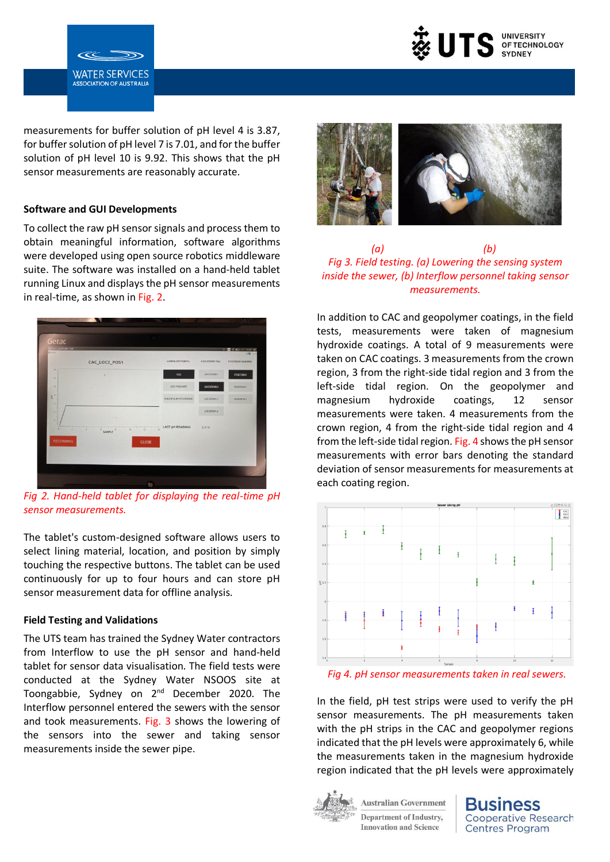

measurements for buffer solution of pH level 4 is 3.87, for buffer solution of pH level 7 is 7.01, and for the buffer solution of pH level 10 is 9.92. This shows that the pH sensor measurements are reasonably accurate.

#### **Software and GUI Developments**

**WATER SERVICES ASSOCIATION OF AUSTRALIA** 

To collect the raw pH sensor signals and process them to obtain meaningful information, software algorithms were developed using open source robotics middleware suite. The software was installed on a hand-held tablet running Linux and displays the pH sensor measurements in real-time, as shown in Fig. 2.



*Fig 2. Hand-held tablet for displaying the real-time pH sensor measurements.* 

The tablet's custom-designed software allows users to select lining material, location, and position by simply touching the respective buttons. The tablet can be used continuously for up to four hours and can store pH sensor measurement data for offline analysis.

## **Field Testing and Validations**

The UTS team has trained the Sydney Water contractors from Interflow to use the pH sensor and hand-held tablet for sensor data visualisation. The field tests were conducted at the Sydney Water NSOOS site at Toongabbie, Sydney on 2<sup>nd</sup> December 2020. The Interflow personnel entered the sewers with the sensor and took measurements. Fig. 3 shows the lowering of the sensors into the sewer and taking sensor measurements inside the sewer pipe.



 *(a) (b) Fig 3. Field testing. (a) Lowering the sensing system inside the sewer, (b) Interflow personnel taking sensor measurements.*

In addition to CAC and geopolymer coatings, in the field tests, measurements were taken of magnesium hydroxide coatings. A total of 9 measurements were taken on CAC coatings. 3 measurements from the crown region, 3 from the right-side tidal region and 3 from the left-side tidal region. On the geopolymer and magnesium hydroxide coatings, 12 sensor measurements were taken. 4 measurements from the crown region, 4 from the right-side tidal region and 4 from the left-side tidal region. Fig. 4 shows the pH sensor measurements with error bars denoting the standard deviation of sensor measurements for measurements at each coating region.



*Fig 4. pH sensor measurements taken in real sewers.*

In the field, pH test strips were used to verify the pH sensor measurements. The pH measurements taken with the pH strips in the CAC and geopolymer regions indicated that the pH levels were approximately 6, while the measurements taken in the magnesium hydroxide region indicated that the pH levels were approximately



**Australian Government** Denartment of Industry. **Innovation and Science**